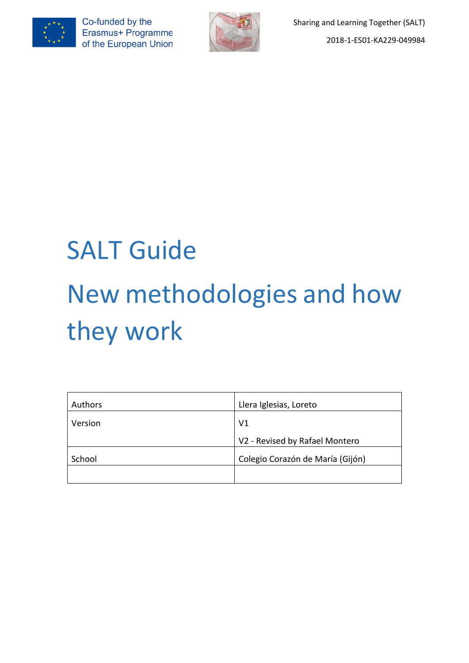



# SALT Guide New methodologies and how they work

| Authors | Llera Iglesias, Loreto           |  |  |
|---------|----------------------------------|--|--|
| Version | V <sub>1</sub>                   |  |  |
|         | V2 - Revised by Rafael Montero   |  |  |
| School  | Colegio Corazón de María (Gijón) |  |  |
|         |                                  |  |  |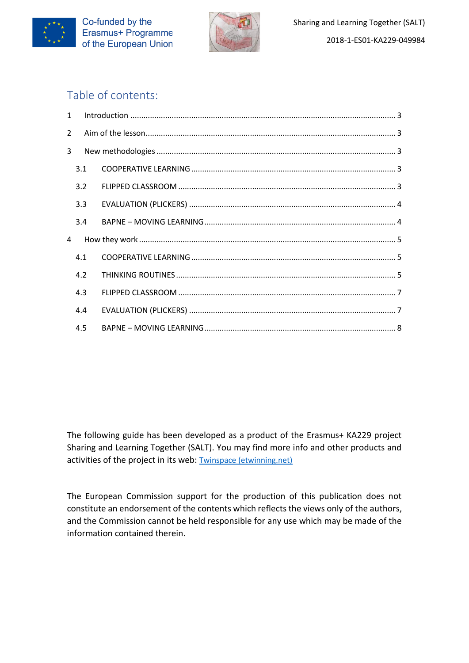



# Table of contents:

| $1 \quad$      |     |  |  |  |  |  |  |  |
|----------------|-----|--|--|--|--|--|--|--|
| $\overline{2}$ |     |  |  |  |  |  |  |  |
| 3              |     |  |  |  |  |  |  |  |
|                | 3.1 |  |  |  |  |  |  |  |
|                | 3.2 |  |  |  |  |  |  |  |
|                | 3.3 |  |  |  |  |  |  |  |
|                | 3.4 |  |  |  |  |  |  |  |
| 4              |     |  |  |  |  |  |  |  |
|                | 4.1 |  |  |  |  |  |  |  |
|                | 4.2 |  |  |  |  |  |  |  |
|                | 4.3 |  |  |  |  |  |  |  |
|                | 4.4 |  |  |  |  |  |  |  |
|                | 4.5 |  |  |  |  |  |  |  |

The following guide has been developed as a product of the Erasmus+ KA229 project Sharing and Learning Together (SALT). You may find more info and other products and activities of the project in its web: [Twinspace \(etwinning.net\)](https://twinspace.etwinning.net/72496/home)

The European Commission support for the production of this publication does not constitute an endorsement of the contents which reflects the views only of the authors, and the Commission cannot be held responsible for any use which may be made of the information contained therein.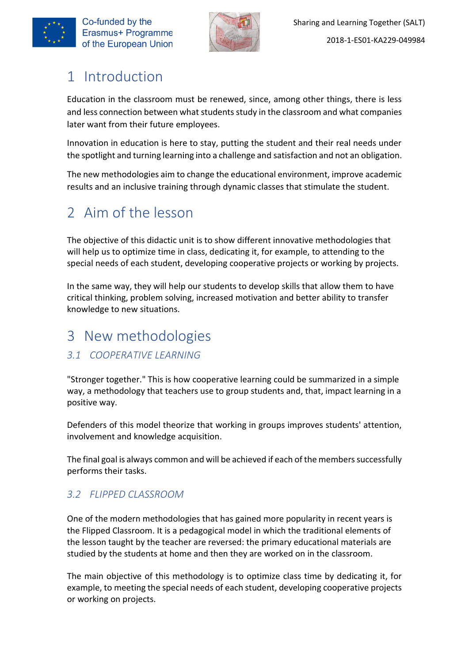



# <span id="page-2-0"></span>1 Introduction

Education in the classroom must be renewed, since, among other things, there is less and less connection between what studentsstudy in the classroom and what companies later want from their future employees.

Innovation in education is here to stay, putting the student and their real needs under the spotlight and turning learning into a challenge and satisfaction and not an obligation.

The new methodologies aim to change the educational environment, improve academic results and an inclusive training through dynamic classes that stimulate the student.

# <span id="page-2-1"></span>2 Aim of the lesson

The objective of this didactic unit is to show different innovative methodologies that will help us to optimize time in class, dedicating it, for example, to attending to the special needs of each student, developing cooperative projects or working by projects.

In the same way, they will help our students to develop skills that allow them to have critical thinking, problem solving, increased motivation and better ability to transfer knowledge to new situations.

# <span id="page-2-2"></span>3 New methodologies

## <span id="page-2-3"></span>*3.1 COOPERATIVE LEARNING*

"Stronger together." This is how cooperative learning could be summarized in a simple way, a methodology that teachers use to group students and, that, impact learning in a positive way.

Defenders of this model theorize that working in groups improves students' attention, involvement and knowledge acquisition.

The final goal is always common and will be achieved if each of the members successfully performs their tasks.

## <span id="page-2-4"></span>*3.2 FLIPPED CLASSROOM*

One of the modern methodologies that has gained more popularity in recent years is the Flipped Classroom. It is a pedagogical model in which the traditional elements of the lesson taught by the teacher are reversed: the primary educational materials are studied by the students at home and then they are worked on in the classroom.

The main objective of this methodology is to optimize class time by dedicating it, for example, to meeting the special needs of each student, developing cooperative projects or working on projects.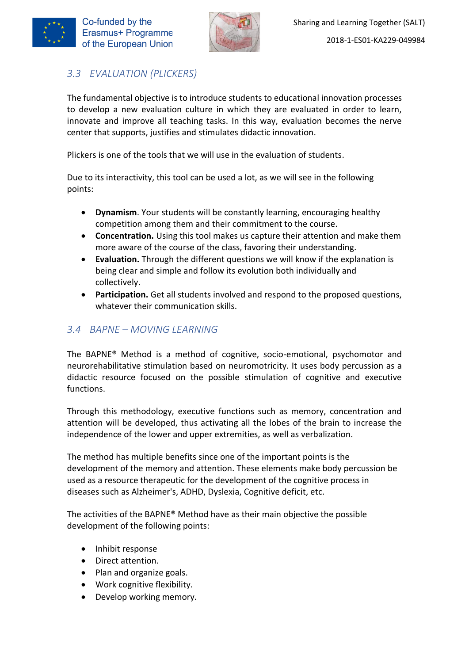

## <span id="page-3-0"></span>*3.3 EVALUATION (PLICKERS)*

The fundamental objective is to introduce students to educational innovation processes to develop a new evaluation culture in which they are evaluated in order to learn, innovate and improve all teaching tasks. In this way, evaluation becomes the nerve center that supports, justifies and stimulates didactic innovation.

Plickers is one of the tools that we will use in the evaluation of students.

Due to its interactivity, this tool can be used a lot, as we will see in the following points:

- **Dynamism**. Your students will be constantly learning, encouraging healthy competition among them and their commitment to the course.
- **Concentration.** Using this tool makes us capture their attention and make them more aware of the course of the class, favoring their understanding.
- **Evaluation.** Through the different questions we will know if the explanation is being clear and simple and follow its evolution both individually and collectively.
- **Participation.** Get all students involved and respond to the proposed questions, whatever their communication skills.

#### <span id="page-3-1"></span>*3.4 BAPNE – MOVING LEARNING*

The BAPNE® Method is a method of cognitive, socio-emotional, psychomotor and neurorehabilitative stimulation based on neuromotricity. It uses body percussion as a didactic resource focused on the possible stimulation of cognitive and executive functions.

Through this methodology, executive functions such as memory, concentration and attention will be developed, thus activating all the lobes of the brain to increase the independence of the lower and upper extremities, as well as verbalization.

The method has multiple benefits since one of the important points is the development of the memory and attention. These elements make body percussion be used as a resource therapeutic for the development of the cognitive process in diseases such as Alzheimer's, ADHD, Dyslexia, Cognitive deficit, etc.

The activities of the BAPNE® Method have as their main objective the possible development of the following points:

- Inhibit response
- Direct attention.
- Plan and organize goals.
- Work cognitive flexibility.
- Develop working memory.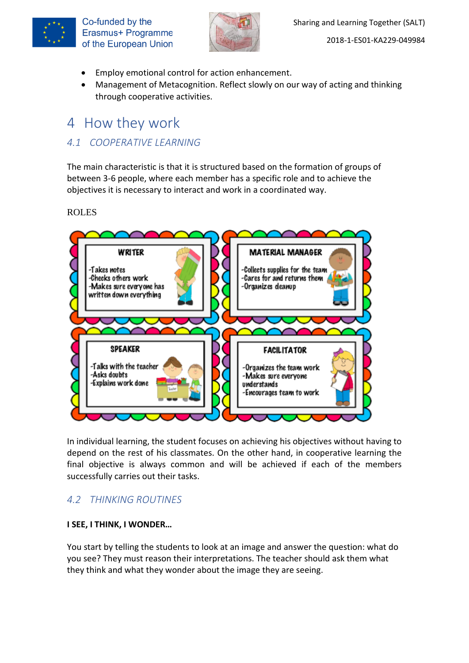



- Employ emotional control for action enhancement.
- Management of Metacognition. Reflect slowly on our way of acting and thinking through cooperative activities.

# <span id="page-4-0"></span>4 How they work

#### <span id="page-4-1"></span>*4.1 COOPERATIVE LEARNING*

The main characteristic is that it is structured based on the formation of groups of between 3-6 people, where each member has a specific role and to achieve the objectives it is necessary to interact and work in a coordinated way.

#### ROLES



In individual learning, the student focuses on achieving his objectives without having to depend on the rest of his classmates. On the other hand, in cooperative learning the final objective is always common and will be achieved if each of the members successfully carries out their tasks.

## <span id="page-4-2"></span>*4.2 THINKING ROUTINES*

#### **I SEE, I THINK, I WONDER…**

You start by telling the students to look at an image and answer the question: what do you see? They must reason their interpretations. The teacher should ask them what they think and what they wonder about the image they are seeing.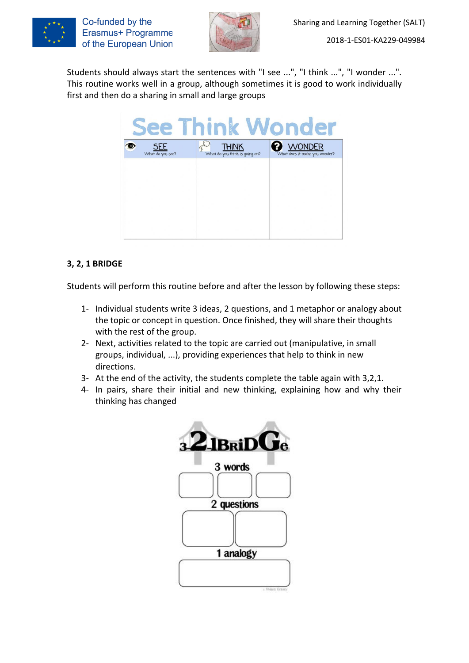



Students should always start the sentences with "I see ...", "I think ...", "I wonder ...". This routine works well in a group, although sometimes it is good to work individually first and then do a sharing in small and large groups

| <b>See Think Wonder</b> |                  |  |  |                                         |  |                                                |  |
|-------------------------|------------------|--|--|-----------------------------------------|--|------------------------------------------------|--|
|                         | What do you see? |  |  | THINK<br>What do you think is going on? |  | <b>JONDER</b><br>What does it make you wonder? |  |
|                         |                  |  |  |                                         |  |                                                |  |
|                         |                  |  |  |                                         |  |                                                |  |
|                         |                  |  |  |                                         |  |                                                |  |
|                         |                  |  |  |                                         |  |                                                |  |

#### **3, 2, 1 BRIDGE**

Students will perform this routine before and after the lesson by following these steps:

- 1- Individual students write 3 ideas, 2 questions, and 1 metaphor or analogy about the topic or concept in question. Once finished, they will share their thoughts with the rest of the group.
- 2- Next, activities related to the topic are carried out (manipulative, in small groups, individual, ...), providing experiences that help to think in new directions.
- 3- At the end of the activity, the students complete the table again with 3,2,1.
- 4- In pairs, share their initial and new thinking, explaining how and why their thinking has changed

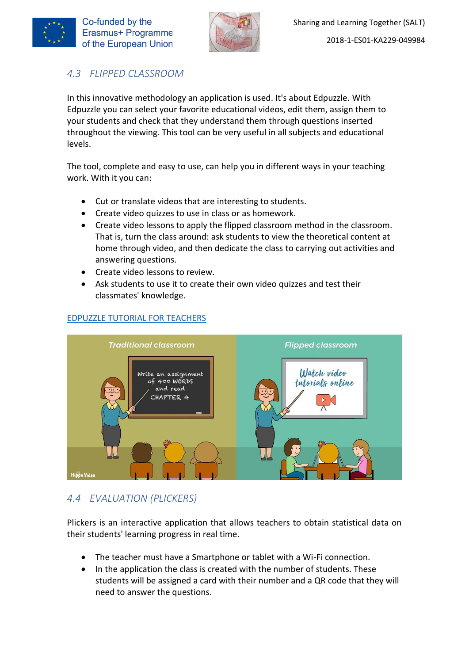



## <span id="page-6-0"></span>*4.3 FLIPPED CLASSROOM*

In this innovative methodology an application is used. It's about Edpuzzle. With Edpuzzle you can select your favorite educational videos, edit them, assign them to your students and check that they understand them through questions inserted throughout the viewing. This tool can be very useful in all subjects and educational levels.

The tool, complete and easy to use, can help you in different ways in your teaching work. With it you can:

- Cut or translate videos that are interesting to students.
- Create video quizzes to use in class or as homework.
- Create video lessons to apply the flipped classroom method in the classroom. That is, turn the class around: ask students to view the theoretical content at home through video, and then dedicate the class to carrying out activities and answering questions.
- Create video lessons to review.
- Ask students to use it to create their own video quizzes and test their classmates' knowledge.



#### [EDPUZZLE TUTORIAL FOR TEACHERS](https://www.youtube.com/watch?v=y1cdFvU-7Mk)

## <span id="page-6-1"></span>*4.4 EVALUATION (PLICKERS)*

Plickers is an interactive application that allows teachers to obtain statistical data on their students' learning progress in real time.

- The teacher must have a Smartphone or tablet with a Wi-Fi connection.
- In the application the class is created with the number of students. These students will be assigned a card with their number and a QR code that they will need to answer the questions.